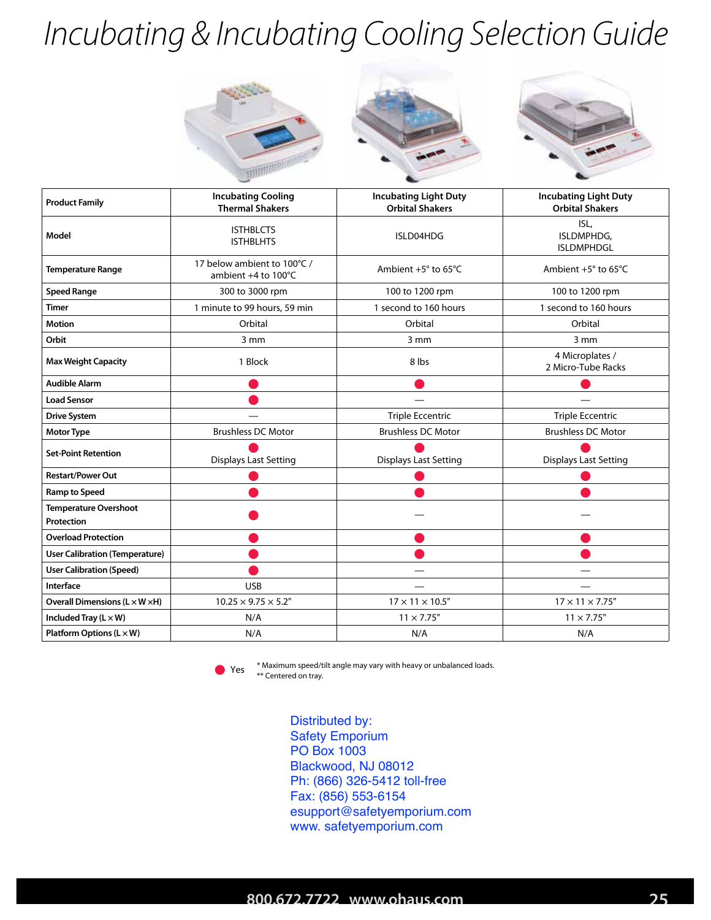## *Incubating & Incubating Cooling Selection Guide*







| <b>Product Family</b>                             | <b>Incubating Cooling</b><br><b>Thermal Shakers</b> | <b>Incubating Light Duty</b><br><b>Orbital Shakers</b> | <b>Incubating Light Duty</b><br><b>Orbital Shakers</b> |
|---------------------------------------------------|-----------------------------------------------------|--------------------------------------------------------|--------------------------------------------------------|
| Model                                             | <b>ISTHBLCTS</b><br><b>ISTHBLHTS</b>                | ISLD04HDG                                              | ISL,<br>ISLDMPHDG,<br><b>ISLDMPHDGL</b>                |
| <b>Temperature Range</b>                          | 17 below ambient to 100°C /<br>ambient +4 to 100°C  | Ambient $+5^\circ$ to 65 $\degree$ C                   | Ambient $+5^\circ$ to 65 $\degree$ C                   |
| <b>Speed Range</b>                                | 300 to 3000 rpm                                     | 100 to 1200 rpm                                        | 100 to 1200 rpm                                        |
| Timer                                             | 1 minute to 99 hours, 59 min                        | 1 second to 160 hours                                  | 1 second to 160 hours                                  |
| <b>Motion</b>                                     | Orbital                                             | Orbital                                                | Orbital                                                |
| Orbit                                             | 3 mm                                                | $3 \, \text{mm}$                                       | 3 mm                                                   |
| <b>Max Weight Capacity</b>                        | 1 Block                                             | 8 lbs                                                  | 4 Microplates /<br>2 Micro-Tube Racks                  |
| <b>Audible Alarm</b>                              |                                                     |                                                        |                                                        |
| <b>Load Sensor</b>                                |                                                     |                                                        |                                                        |
| <b>Drive System</b>                               |                                                     | <b>Triple Eccentric</b>                                | <b>Triple Eccentric</b>                                |
| <b>Motor Type</b>                                 | <b>Brushless DC Motor</b>                           | <b>Brushless DC Motor</b>                              | <b>Brushless DC Motor</b>                              |
| <b>Set-Point Retention</b>                        | <b>Displays Last Setting</b>                        | <b>Displays Last Setting</b>                           | <b>Displays Last Setting</b>                           |
| <b>Restart/Power Out</b>                          |                                                     |                                                        |                                                        |
| <b>Ramp to Speed</b>                              |                                                     |                                                        |                                                        |
| <b>Temperature Overshoot</b><br>Protection        |                                                     |                                                        |                                                        |
| <b>Overload Protection</b>                        |                                                     |                                                        |                                                        |
| <b>User Calibration (Temperature)</b>             |                                                     |                                                        |                                                        |
| <b>User Calibration (Speed)</b>                   |                                                     |                                                        |                                                        |
| Interface                                         | <b>USB</b>                                          |                                                        |                                                        |
| Overall Dimensions (L × W × H)                    | $10.25 \times 9.75 \times 5.2$ "                    | $17 \times 11 \times 10.5$ "                           | $17 \times 11 \times 7.75$ "                           |
| Included Tray $(L \times W)$                      | N/A                                                 | $11 \times 7.75$ "                                     | $11 \times 7.75$ "                                     |
| <b>Platform Options (<math>L \times W</math>)</b> | N/A                                                 | N/A                                                    | N/A                                                    |



\* Maximum speed/tilt angle may vary with heavy or unbalanced loads.  $\bullet$  Yes  $\ast$  Centered on tray.

> Distributed by: Safety Emporium PO Box 1003 Blackwood, NJ 08012 Ph: (866) 326-5412 toll-free Fax: (856) 553-6154 esupport@safetyemporium.com www. safetyemporium.com